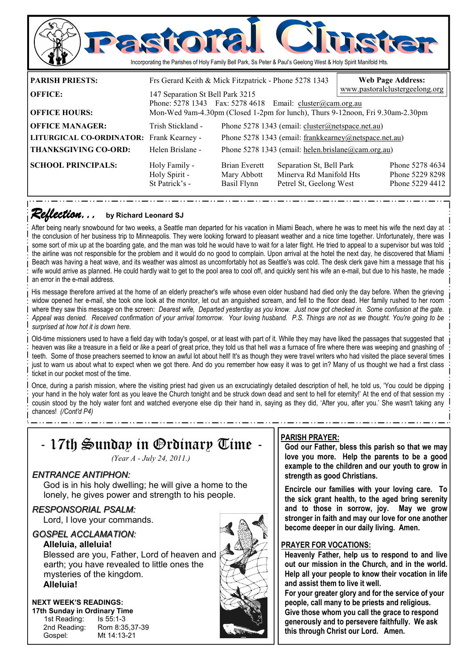

### *Reflection... Reflection...* **by Richard Leonard SJ**

After being nearly snowbound for two weeks, a Seattle man departed for his vacation in Miami Beach, where he was to meet his wife the next day at the conclusion of her business trip to Minneapolis. They were looking forward to pleasant weather and a nice time together. Unfortunately, there was some sort of mix up at the boarding gate, and the man was told he would have to wait for a later flight. He tried to appeal to a supervisor but was told the airline was not responsible for the problem and it would do no good to complain. Upon arrival at the hotel the next day, he discovered that Miami Beach was having a heat wave, and its weather was almost as uncomfortably hot as Seattle's was cold. The desk clerk gave him a message that his wife would arrive as planned. He could hardly wait to get to the pool area to cool off, and quickly sent his wife an e-mail, but due to his haste, he made an error in the e-mail address.

His message therefore arrived at the home of an elderly preacher's wife whose even older husband had died only the day before. When the grieving widow opened her e-mail, she took one look at the monitor, let out an anguished scream, and fell to the floor dead. Her family rushed to her room where they saw this message on the screen: *Dearest wife, Departed yesterday as you know. Just now got checked in. Some confusion at the gate. Appeal was denied. Received confirmation of your arrival tomorrow. Your loving husband. P.S. Things are not as we thought. You're going to be surprised at how hot it is down here.* 

Old-time missioners used to have a field day with today's gospel, or at least with part of it. While they may have liked the passages that suggested that heaven was *like* a treasure in a field or *like* a pearl of great price, they told us that hell *was* a furnace of fire where there was weeping and gnashing of teeth. Some of those preachers seemed to know an awful lot about hell! It's as though they were travel writers who had visited the place several times just to warn us about what to expect when we got there. And do you remember how easy it was to get in? Many of us thought we had a first class ticket in our pocket most of the time.

Once, during a parish mission, where the visiting priest had given us an excruciatingly detailed description of hell, he told us, 'You could be dipping your hand in the holy water font as you leave the Church tonight and be struck down dead and sent to hell for eternity!' At the end of that session my cousin stood by the holy water font and watched everyone else dip their hand in, saying as they did, 'After you, after you.' She wasn't taking any chances! *(/Cont'd P4)* 



### **PARISH PRAYER:**

**God our Father, bless this parish so that we may love you more. Help the parents to be a good example to the children and our youth to grow in strength as good Christians.** 

**Encircle our families with your loving care. To the sick grant health, to the aged bring serenity and to those in sorrow, joy. May we grow stronger in faith and may our love for one another become deeper in our daily living. Amen.** 

### **PRAYER FOR VOCATIONS:**

**Heavenly Father, help us to respond to and live out our mission in the Church, and in the world. Help all your people to know their vocation in life and assist them to live it well.** 

**For your greater glory and for the service of your people, call many to be priests and religious. Give those whom you call the grace to respond generously and to persevere faithfully. We ask** 

**this through Christ our Lord. Amen.**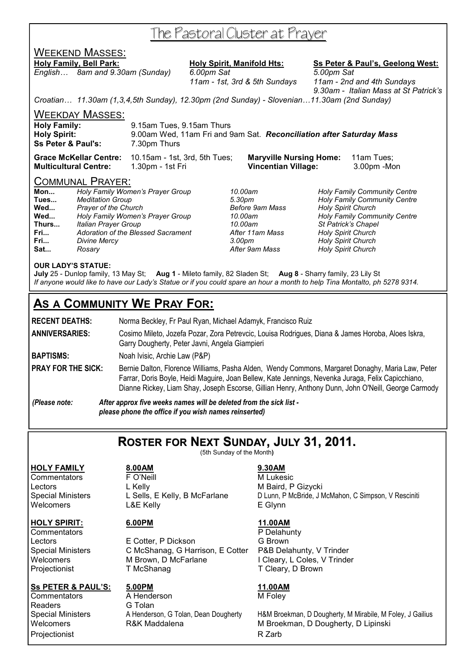## The Pastoral Cluster at Prayer

## WEEKEND MASSES:

### Holy Family, Bell Park: Holy Spirit, Manifold Hts: Ss Peter & Paul's, Geelong West:

*English… 8am and 9.30am (Sunday) 6.00pm Sat 5.00pm Sat* 

 *11am - 1st, 3rd & 5th Sundays 11am - 2nd and 4th Sundays 9.30am - Italian Mass at St Patrick's* 

*Croatian… 11.30am (1,3,4,5th Sunday), 12.30pm (2nd Sunday) - Slovenian…11.30am (2nd Sunday)* 

WEEKDAY MASSES:

| <b>Holy Spirit:</b>                           | 9.00am Wed, 11am Fri and 9am Sat. Reconciliation after Saturday Mass |
|-----------------------------------------------|----------------------------------------------------------------------|
| <b>Ss Peter &amp; Paul's:</b><br>7.30pm Thurs |                                                                      |

**Grace McKellar Centre:** 10.15am - 1st, 3rd, 5th Tues; **Maryville Nursing Home:** 11am Tues; **Multicultural Centre:** 1.30pm - 1st Fri **Vincentian Village:** 3.00pm -Mon

### COMMUNAL PRAYER:

| Mon   | Holy Family Women's Prayer Group   |
|-------|------------------------------------|
| Tues  | <b>Meditation Group</b>            |
| Wed   | Prayer of the Church               |
| Wed   | Holy Family Women's Prayer Group   |
| Thurs | Italian Prayer Group               |
| Fri   | Adoration of the Blessed Sacrament |
| Fri   | <b>Divine Mercy</b>                |
| Sat   | Rosary                             |

**Wed...** *Prayer of the Church Before 9am Mass Holy Spirit Church*  **Fri...** *Divine Mercy 3.00pm Holy Spirit Church* 

**Mon...** *Holy Family Women's Prayer Group 10.00am Holy Family Community Centre*  **Tues...** *Meditation Group 5.30pm Holy Family Community Centre*  **Wed...** *Holy Family Women's Prayer Group 10.00am Holy Family Community Centre*  **Thurs...** *Italian Prayer Group 10.00am St Patrick's Chapel*  **Holy Spirit Church Sat...** *Rosary After 9am Mass Holy Spirit Church* 

### **OUR LADY'S STATUE:**

**July** 25 - Dunlop family, 13 May St; **Aug 1** - Mileto family, 82 Sladen St; **Aug 8** - Sharry family, 23 Lily St *If anyone would like to have our Lady's Statue or if you could spare an hour a month to help Tina Montalto, ph 5278 9314.* 

## **AS A COMMUNITY WE PRAY FOR:**

**RECENT DEATHS:** Norma Beckley, Fr Paul Ryan, Michael Adamyk, Francisco Ruiz **ANNIVERSARIES:** Cosimo Mileto, Jozefa Pozar, Zora Petrevcic, Louisa Rodrigues, Diana & James Horoba, Aloes Iskra, Garry Dougherty, Peter Javni, Angela Giampieri **BAPTISMS:** Noah Ivisic, Archie Law (P&P) PRAY FOR THE SICK: Bernie Dalton, Florence Williams, Pasha Alden, Wendy Commons, Margaret Donaghy, Maria Law, Peter Farrar, Doris Boyle, Heidi Maguire, Joan Bellew, Kate Jennings, Nevenka Juraga, Felix Capicchiano,

Dianne Rickey, Liam Shay, Joseph Escorse, Gillian Henry, Anthony Dunn, John O'Neill, George Carmody *(Please note: After approx five weeks names will be deleted from the sick list please phone the office if you wish names reinserted)* 

**ROSTER FOR NEXT SUNDAY, JULY 31, 2011.**

(5th Sunday of the Month**)** 

**HOLY FAMILY 8.00AM 9.30AM**

## **Ss PETER & PAUL'S:** 5.00PM<br>
Commentators A Henderson M Foley

 $\overline{\text{Commentators}}$ Readers **G Tolan** Projectionist **R** Zarb

Commentators FO'Neill **F** Commentators **M** Lukesic Lectors L Kelly **Contained A L Kelly** M Baird, P Gizycki Special Ministers L Sells, E Kelly, B McFarlane D Lunn, P McBride, J McMahon, C Simpson, V Resciniti Welcomers L&E Kelly **E Glynn** 

### **HOLY SPIRIT:** 6.00PM 11.00AM

Commentators **P Delahunty** P Delahunty Lectors E Cotter, P Dickson G Brown Special Ministers C McShanag, G Harrison, E Cotter P&B Delahunty, V Trinder Welcomers M Brown, D McFarlane I Cleary, L Coles, V Trinder<br>
Projectionist T McShanag T Cleary, D Brown T McShanag T Cleary, D Brown

Special Ministers A Henderson, G Tolan, Dean Dougherty H&M Broekman, D Dougherty, M Mirabile, M Foley, J Gailius<br>Welcomers R&K Maddalena M Broekman, D Dougherty, D Lipinski M Broekman, D Dougherty, D Lipinski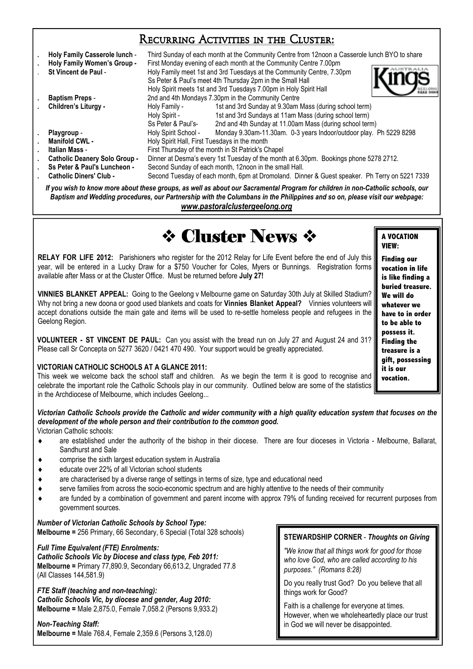## Recurring Activities in the Cluster:

| Holy Family Casserole lunch -<br>Holy Family Women's Group -                                                                    | Third Sunday of each month at the Community Centre from 12noon a Casserole lunch BYO to share<br>First Monday evening of each month at the Community Centre 7.00pm |                                                                    |  |  |
|---------------------------------------------------------------------------------------------------------------------------------|--------------------------------------------------------------------------------------------------------------------------------------------------------------------|--------------------------------------------------------------------|--|--|
| St Vincent de Paul -                                                                                                            | Holy Family meet 1st and 3rd Tuesdays at the Community Centre, 7.30pm                                                                                              |                                                                    |  |  |
|                                                                                                                                 | Ss Peter & Paul's meet 4th Thursday 2pm in the Small Hall                                                                                                          |                                                                    |  |  |
|                                                                                                                                 | Holy Spirit meets 1st and 3rd Tuesdays 7.00pm in Holy Spirit Hall                                                                                                  |                                                                    |  |  |
| <b>Baptism Preps -</b>                                                                                                          | 2nd and 4th Mondays 7.30pm in the Community Centre                                                                                                                 |                                                                    |  |  |
| Children's Liturgy -                                                                                                            | Holy Family -                                                                                                                                                      | 1st and 3rd Sunday at 9.30am Mass (during school term)             |  |  |
|                                                                                                                                 | Holy Spirit -                                                                                                                                                      | 1st and 3rd Sundays at 11am Mass (during school term)              |  |  |
|                                                                                                                                 | Ss Peter & Paul's-                                                                                                                                                 | 2nd and 4th Sunday at 11.00am Mass (during school term)            |  |  |
| Playgroup -                                                                                                                     | Holy Spirit School -                                                                                                                                               | Monday 9.30am-11.30am. 0-3 years Indoor/outdoor play. Ph 5229 8298 |  |  |
| Manifold CWL -                                                                                                                  | Holy Spirit Hall, First Tuesdays in the month                                                                                                                      |                                                                    |  |  |
| Italian Mass -                                                                                                                  | First Thursday of the month in St Patrick's Chapel                                                                                                                 |                                                                    |  |  |
| <b>Catholic Deanery Solo Group -</b>                                                                                            | Dinner at Desma's every 1st Tuesday of the month at 6.30pm. Bookings phone 5278 2712.                                                                              |                                                                    |  |  |
| Ss Peter & Paul's Luncheon -                                                                                                    | Second Sunday of each month, 12noon in the small Hall.                                                                                                             |                                                                    |  |  |
| <b>Catholic Diners' Club -</b>                                                                                                  | Second Tuesday of each month, 6pm at Dromoland. Dinner & Guest speaker. Ph Terry on 5221 7339                                                                      |                                                                    |  |  |
| If you wish to know more about these groups, as well as about our Sacramental Program for children in non-Catholic schools, our |                                                                                                                                                                    |                                                                    |  |  |

*Baptism and Wedding procedures, our Partnership with the Columbans in the Philippines and so on, please visit our webpage: www.pastoralclustergeelong.org*

# **22 Cluster News \***

**RELAY FOR LIFE 2012:** Parishioners who register for the 2012 Relay for Life Event before the end of July this year, will be entered in a Lucky Draw for a \$750 Voucher for Coles, Myers or Bunnings. Registration forms available after Mass or at the Cluster Office. Must be returned before **July 27!** 

**VINNIES BLANKET APPEAL:** Going to the Geelong v Melbourne game on Saturday 30th July at Skilled Stadium? Why not bring a new doona or good used blankets and coats for **Vinnies Blanket Appeal?** Vinnies volunteers will accept donations outside the main gate and items will be used to re-settle homeless people and refugees in the Geelong Region.

**VOLUNTEER - ST VINCENT DE PAUL:** Can you assist with the bread run on July 27 and August 24 and 31? Please call Sr Concepta on 5277 3620 / 0421 470 490. Your support would be greatly appreciated.

### **VICTORIAN CATHOLIC SCHOOLS AT A GLANCE 2011:**

This week we welcome back the school staff and children. As we begin the term it is good to recognise and celebrate the important role the Catholic Schools play in our community. Outlined below are some of the statistics in the Archdiocese of Melbourne, which includes Geelong...

*Victorian Catholic Schools provide the Catholic and wider community with a high quality education system that focuses on the development of the whole person and their contribution to the common good.*  Victorian Catholic schools:

- are established under the authority of the bishop in their diocese. There are four dioceses in Victoria Melbourne, Ballarat, Sandhurst and Sale
- comprise the sixth largest education system in Australia
- educate over 22% of all Victorian school students
- are characterised by a diverse range of settings in terms of size, type and educational need
- serve families from across the socio-economic spectrum and are highly attentive to the needs of their community
- are funded by a combination of government and parent income with approx 79% of funding received for recurrent purposes from government sources.

*Number of Victorian Catholic Schools by School Type:*  **Melbourne =** 256 Primary, 66 Secondary, 6 Special (Total 328 schools)

### *Full Time Equivalent (FTE) Enrolments:*

*Catholic Schools Vic by Diocese and class type, Feb 2011:*  **Melbourne =** Primary 77,890.9, Secondary 66,613.2, Ungraded 77.8 (All Classes 144,581.9)

### *FTE Staff (teaching and non-teaching): Catholic Schools Vic, by diocese and gender, Aug 2010:*

**Melbourne =** Male 2,875.0, Female 7,058.2 (Persons 9,933.2)

### *Non-Teaching Staff:*

**Melbourne =** Male 768.4, Female 2,359.6 (Persons 3,128.0)

**STEWARDSHIP CORNER** - *Thoughts on Giving* 

*"We know that all things work for good for those who love God, who are called according to his purposes." (Romans 8:28)* 

Do you really trust God? Do you believe that all things work for Good?

Faith is a challenge for everyone at times. However, when we wholeheartedly place our trust in God we will never be disappointed.

**A VOCATION VIEW:** 

**Finding our vocation in life is like finding a buried treasure. We will do whatever we have to in order to be able to possess it. Finding the treasure is a gift, possessing it is our vocation.**